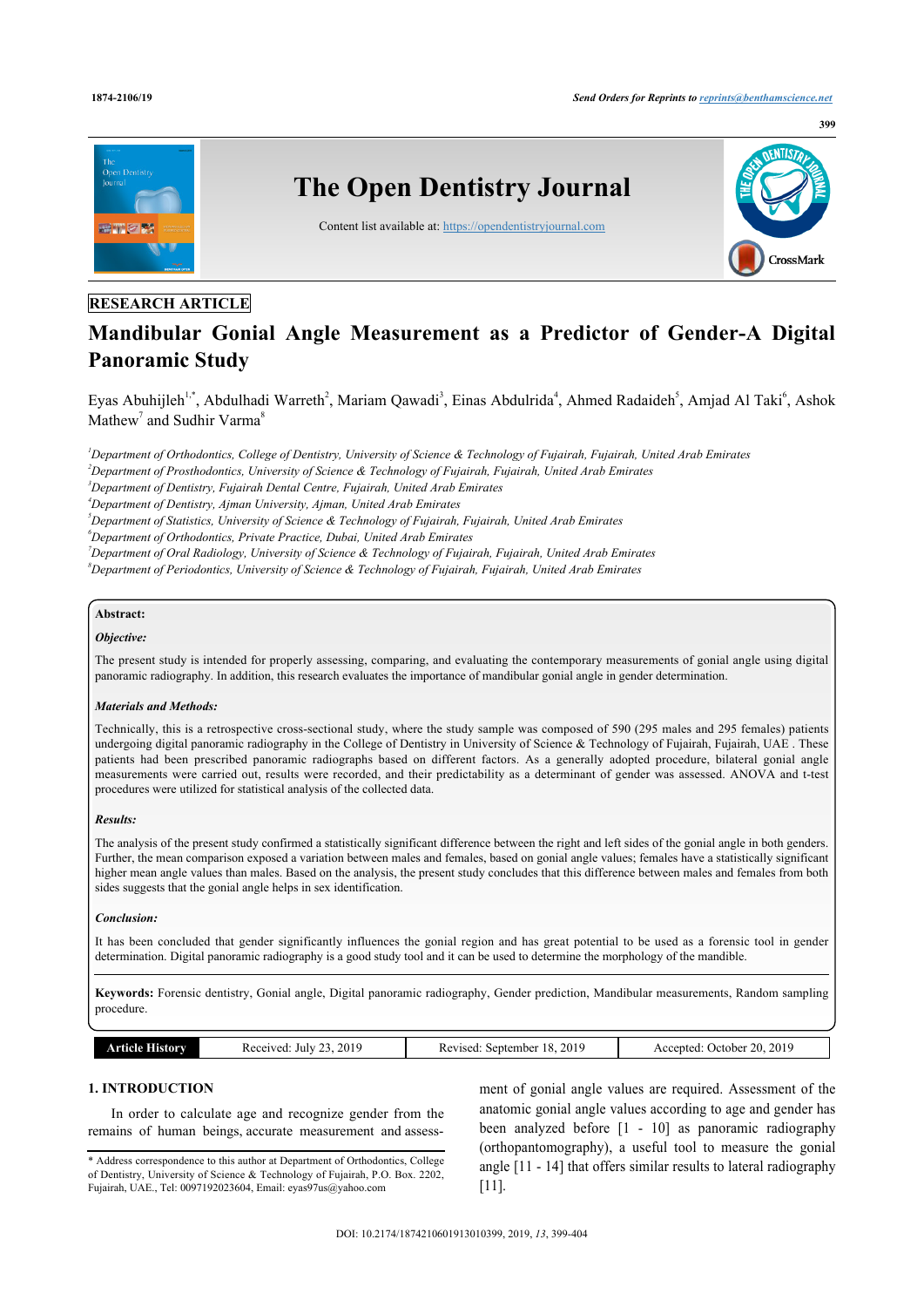

# **RESEARCH ARTICLE**

# **Mandibular Gonial Angle Measurement as a Predictor of Gender-A Digital Panoramic Study**

Eyas Abuhijleh<sup>1,\*</sup>, Abdulhadi Warreth<sup>2</sup>, Mariam Qawadi<sup>3</sup>, Einas Abdulrida<sup>4</sup>, Ahmed Radaideh<sup>5</sup>, Amjad Al Taki<sup>6</sup>, Ashok Mathew<sup>7</sup> and Sudhir Varma<sup>8</sup>

*<sup>1</sup>Department of Orthodontics, College of Dentistry, University of Science & Technology of Fujairah, Fujairah, United Arab Emirates <sup>2</sup>Department of Prosthodontics, University of Science & Technology of Fujairah, Fujairah, United Arab Emirates <sup>3</sup>Department of Dentistry, Fujairah Dental Centre, Fujairah, United Arab Emirates*

*<sup>4</sup>Department of Dentistry, Ajman University, Ajman, United Arab Emirates*

*<sup>5</sup>Department of Statistics, University of Science & Technology of Fujairah, Fujairah, United Arab Emirates*

*<sup>6</sup>Department of Orthodontics, Private Practice, Dubai, United Arab Emirates*

*<sup>7</sup>Department of Oral Radiology, University of Science & Technology of Fujairah, Fujairah, United Arab Emirates*

*<sup>8</sup>Department of Periodontics, University of Science & Technology of Fujairah, Fujairah, United Arab Emirates*

## **Abstract:**

## *Objective:*

The present study is intended for properly assessing, comparing, and evaluating the contemporary measurements of gonial angle using digital panoramic radiography. In addition, this research evaluates the importance of mandibular gonial angle in gender determination.

#### *Materials and Methods:*

Technically, this is a retrospective cross-sectional study, where the study sample was composed of 590 (295 males and 295 females) patients undergoing digital panoramic radiography in the College of Dentistry in University of Science & Technology of Fujairah, Fujairah, UAE . These patients had been prescribed panoramic radiographs based on different factors. As a generally adopted procedure, bilateral gonial angle measurements were carried out, results were recorded, and their predictability as a determinant of gender was assessed. ANOVA and t-test procedures were utilized for statistical analysis of the collected data.

#### *Results:*

The analysis of the present study confirmed a statistically significant difference between the right and left sides of the gonial angle in both genders. Further, the mean comparison exposed a variation between males and females, based on gonial angle values; females have a statistically significant higher mean angle values than males. Based on the analysis, the present study concludes that this difference between males and females from both sides suggests that the gonial angle helps in sex identification.

#### *Conclusion:*

It has been concluded that gender significantly influences the gonial region and has great potential to be used as a forensic tool in gender determination. Digital panoramic radiography is a good study tool and it can be used to determine the morphology of the mandible.

**Keywords:** Forensic dentistry, Gonial angle, Digital panoramic radiography, Gender prediction, Mandibular measurements, Random sampling procedure.

| listory<br>. | 2019<br>eured<br>July<br>. <b>.</b><br>$\sim$ | 201 <sup>6</sup><br>18<br>september<br>evised<br>n. | 2019<br>ንበ<br>. Jetober<br>ccented |
|--------------|-----------------------------------------------|-----------------------------------------------------|------------------------------------|

## **1. INTRODUCTION**

In order to calculate age and recognize gender from the remains of human beings, accurate measurement and assess-

ment of gonial angle values are required. Assessment of the anatomic gonial angle values according to age and gender has been analyzed before [1 - 10] as panoramic radiography (orthopantomography), a useful tool to measure the gonial angle [11 - 14] that offers similar results to lateral radiography [11].

<sup>\*</sup> Address correspondence to this author at Department of Orthodontics, College of Dentistry, University of Science & Technology of Fujairah, P.O. Box. 2202, Fujairah, UAE., Tel: 0097192023604, Email: eyas97us@yahoo.com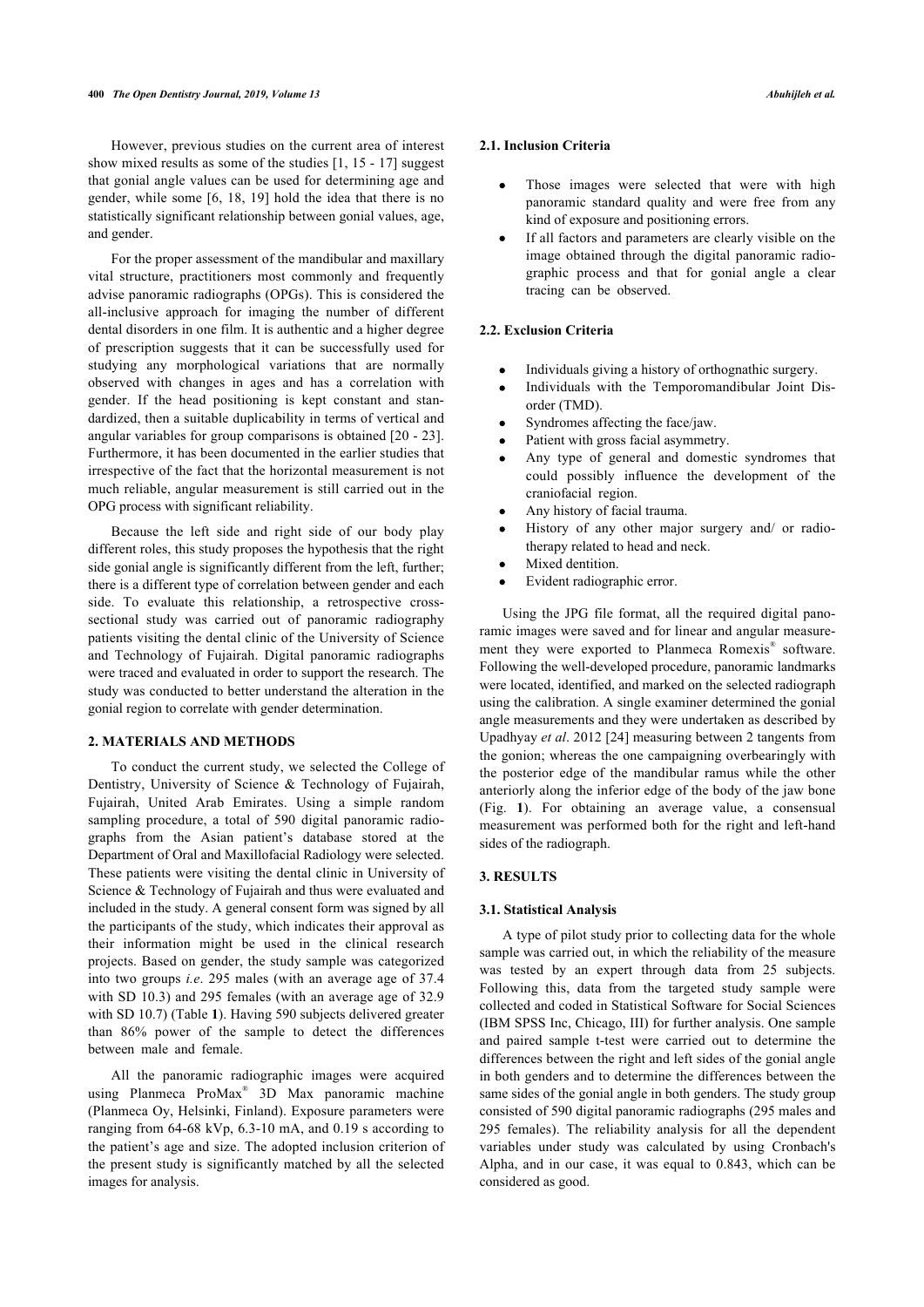However, previous studies on the current area of interest show mixed results as some of the studies [1, 15 - 17] suggest that gonial angle values can be used for determining age and gender, while some [6, 18, 19] hold the idea that there is no statistically significant relationship between gonial values, age, and gender.

For the proper assessment of the mandibular and maxillary vital structure, practitioners most commonly and frequently advise panoramic radiographs (OPGs). This is considered the all-inclusive approach for imaging the number of different dental disorders in one film. It is authentic and a higher degree of prescription suggests that it can be successfully used for studying any morphological variations that are normally observed with changes in ages and has a correlation with gender. If the head positioning is kept constant and standardized, then a suitable duplicability in terms of vertical and angular variables for group comparisons is obtained [20 - 23]. Furthermore, it has been documented in the earlier studies that irrespective of the fact that the horizontal measurement is not much reliable, angular measurement is still carried out in the OPG process with significant reliability.

Because the left side and right side of our body play different roles, this study proposes the hypothesis that the right side gonial angle is significantly different from the left, further; there is a different type of correlation between gender and each side. To evaluate this relationship, a retrospective crosssectional study was carried out of panoramic radiography patients visiting the dental clinic of the University of Science and Technology of Fujairah. Digital panoramic radiographs were traced and evaluated in order to support the research. The study was conducted to better understand the alteration in the gonial region to correlate with gender determination.

#### **2. MATERIALS AND METHODS**

To conduct the current study, we selected the College of Dentistry, University of Science & Technology of Fujairah, Fujairah, United Arab Emirates. Using a simple random sampling procedure, a total of 590 digital panoramic radiographs from the Asian patient's database stored at the Department of Oral and Maxillofacial Radiology were selected. These patients were visiting the dental clinic in University of Science & Technology of Fujairah and thus were evaluated and included in the study. A general consent form was signed by all the participants of the study, which indicates their approval as their information might be used in the clinical research projects. Based on gender, the study sample was categorized into two groups *i.e*. 295 males (with an average age of 37.4 with SD 10.3) and 295 females (with an average age of 32.9 with SD 10.7) (Table **1**). Having 590 subjects delivered greater than 86% power of the sample to detect the differences between male and female.

All the panoramic radiographic images were acquired using Planmeca ProMax® 3D Max panoramic machine (Planmeca Oy, Helsinki, Finland). Exposure parameters were ranging from 64-68 kVp, 6.3-10 mA, and 0.19 s according to the patient's age and size. The adopted inclusion criterion of the present study is significantly matched by all the selected images for analysis.

#### **2.1. Inclusion Criteria**

- Those images were selected that were with high panoramic standard quality and were free from any kind of exposure and positioning errors.
- If all factors and parameters are clearly visible on the  $\bullet$ image obtained through the digital panoramic radiographic process and that for gonial angle a clear tracing can be observed.

# **2.2. Exclusion Criteria**

- Individuals giving a history of orthognathic surgery.
- Individuals with the Temporomandibular Joint Disorder (TMD).
- Syndromes affecting the face/jaw.
- Patient with gross facial asymmetry.
- Any type of general and domestic syndromes that could possibly influence the development of the craniofacial region.
- Any history of facial trauma.
- History of any other major surgery and/ or radiotherapy related to head and neck.
- Mixed dentition.
- Evident radiographic error.

Using the JPG file format, all the required digital panoramic images were saved and for linear and angular measurement they were exported to Planmeca Romexis® software. Following the well-developed procedure, panoramic landmarks were located, identified, and marked on the selected radiograph using the calibration. A single examiner determined the gonial angle measurements and they were undertaken as described by Upadhyay *et al*. 2012 [24] measuring between 2 tangents from the gonion; whereas the one campaigning overbearingly with the posterior edge of the mandibular ramus while the other anteriorly along the inferior edge of the body of the jaw bone (Fig. **1**). For obtaining an average value, a consensual measurement was performed both for the right and left-hand sides of the radiograph.

## **3. RESULTS**

#### **3.1. Statistical Analysis**

A type of pilot study prior to collecting data for the whole sample was carried out, in which the reliability of the measure was tested by an expert through data from 25 subjects. Following this, data from the targeted study sample were collected and coded in Statistical Software for Social Sciences (IBM SPSS Inc, Chicago, III) for further analysis. One sample and paired sample t-test were carried out to determine the differences between the right and left sides of the gonial angle in both genders and to determine the differences between the same sides of the gonial angle in both genders. The study group consisted of 590 digital panoramic radiographs (295 males and 295 females). The reliability analysis for all the dependent variables under study was calculated by using Cronbach's Alpha, and in our case, it was equal to 0.843, which can be considered as good.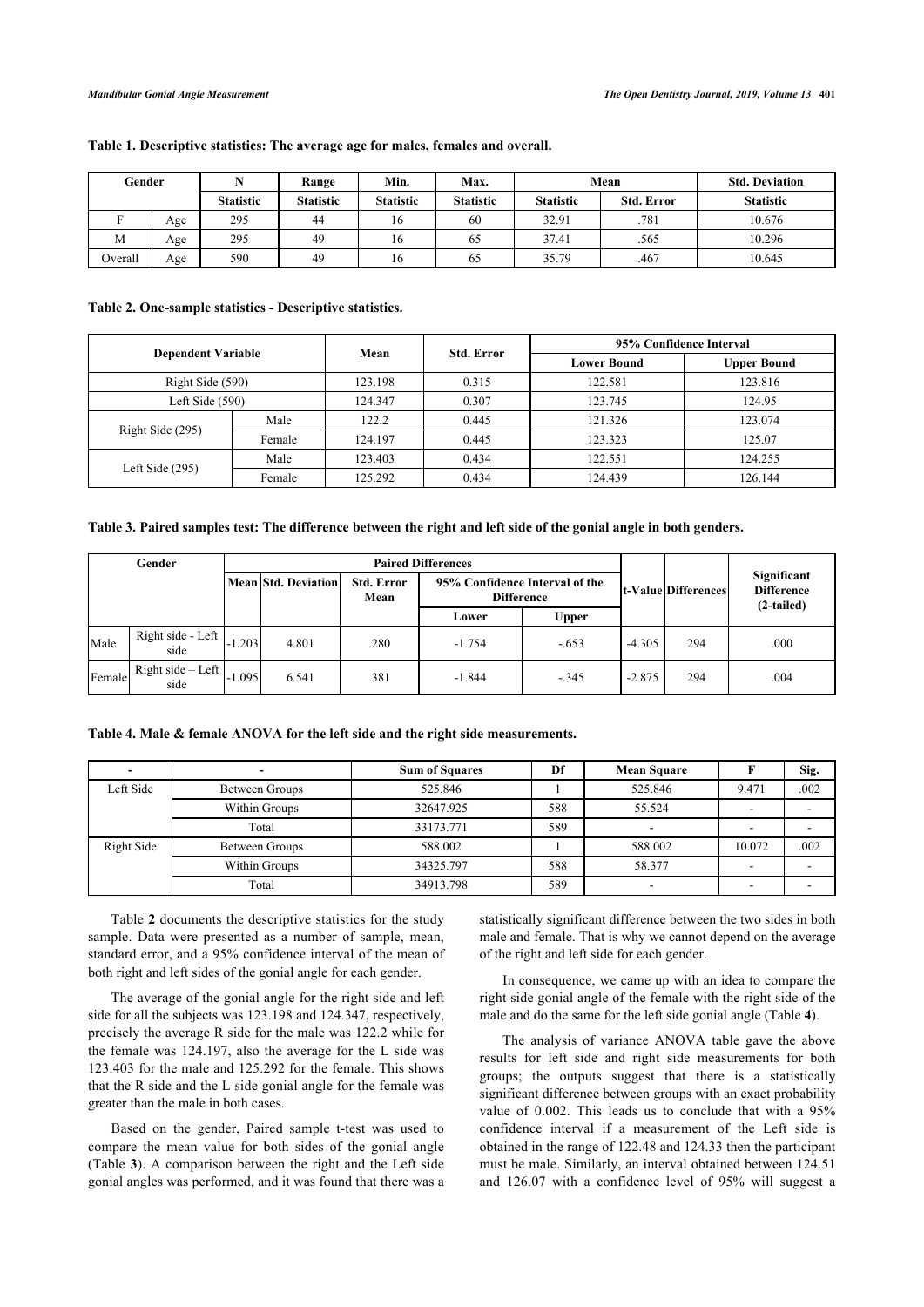| Gender  |     |                  | Range            | Min.             | Max.             | Mean             |                   | <b>Std. Deviation</b> |  |
|---------|-----|------------------|------------------|------------------|------------------|------------------|-------------------|-----------------------|--|
|         |     | <b>Statistic</b> | <b>Statistic</b> | <b>Statistic</b> | <b>Statistic</b> | <b>Statistic</b> | <b>Std. Error</b> | <b>Statistic</b>      |  |
|         | Age | 295              | 44               | 16               | 60               | 32.91            | .781              | 10.676                |  |
| М       | Age | 295              | 49               | 16               | 65               | 37.41            | .565              | 10.296                |  |
| Overall | Age | 590              | 49               | 16               | 65               | 35.79            | .467              | 10.645                |  |

## **Table 1. Descriptive statistics: The average age for males, females and overall.**

## **Table 2. One-sample statistics - Descriptive statistics.**

| <b>Dependent Variable</b> |        | Mean    | <b>Std. Error</b> | 95% Confidence Interval |                    |  |  |
|---------------------------|--------|---------|-------------------|-------------------------|--------------------|--|--|
|                           |        |         |                   | <b>Lower Bound</b>      | <b>Upper Bound</b> |  |  |
| Right Side (590)          |        | 123.198 | 0.315             | 122.581                 | 123.816            |  |  |
| Left Side $(590)$         |        | 124.347 | 0.307             | 123.745                 | 124.95             |  |  |
| Right Side (295)          | Male   | 122.2   | 0.445             | 121.326                 | 123.074            |  |  |
|                           | Female | 124.197 | 0.445             | 123.323                 | 125.07             |  |  |
| Left Side $(295)$         | Male   | 123.403 | 0.434             | 122.551                 | 124.255            |  |  |
|                           | Female | 125.292 | 0.434             | 124.439                 | 126.144            |  |  |

#### **Table 3. Paired samples test: The difference between the right and left side of the gonial angle in both genders.**

| Gender |                             | <b>Paired Differences</b> |                            |                           |                                                     |              |          |                            |                                                |  |
|--------|-----------------------------|---------------------------|----------------------------|---------------------------|-----------------------------------------------------|--------------|----------|----------------------------|------------------------------------------------|--|
|        |                             |                           | <b>Mean Std. Deviation</b> | <b>Std. Error</b><br>Mean | 95% Confidence Interval of the<br><b>Difference</b> |              |          | <b>t-Value Differences</b> | Significant<br><b>Difference</b><br>(2-tailed) |  |
|        |                             |                           |                            |                           | Lower                                               | <b>Upper</b> |          |                            |                                                |  |
| Male   | Right side - Left<br>side   | .203                      | 4.801                      | .280                      | $-1.754$                                            | $-.653$      | $-4.305$ | 294                        | .000                                           |  |
| Female | Right side $-$ Left<br>side | $-1.095$                  | 6.541                      | .381                      | $-1.844$                                            | $-345$       | $-2.875$ | 294                        | .004                                           |  |

#### **Table 4. Male & female ANOVA for the left side and the right side measurements.**

|            |                | <b>Sum of Squares</b> | Df  | <b>Mean Square</b> |        | Sig. |
|------------|----------------|-----------------------|-----|--------------------|--------|------|
| Left Side  | Between Groups | 525.846               |     | 525.846            | 9.471  | .002 |
|            | Within Groups  | 32647.925             | 588 | 55.524             | -      |      |
|            | Total          | 33173.771             | 589 | -                  | -      |      |
| Right Side | Between Groups | 588.002               |     | 588.002            | 10.072 | .002 |
|            | Within Groups  | 34325.797             | 588 | 58.377             |        |      |
|            | Total          | 34913.798             | 589 | -                  |        |      |

Table **2** documents the descriptive statistics for the study sample. Data were presented as a number of sample, mean, standard error, and a 95% confidence interval of the mean of both right and left sides of the gonial angle for each gender.

The average of the gonial angle for the right side and left side for all the subjects was 123.198 and 124.347, respectively, precisely the average R side for the male was 122.2 while for the female was 124.197, also the average for the L side was 123.403 for the male and 125.292 for the female. This shows that the R side and the L side gonial angle for the female was greater than the male in both cases.

Based on the gender, Paired sample t-test was used to compare the mean value for both sides of the gonial angle (Table **3**). A comparison between the right and the Left side gonial angles was performed, and it was found that there was a statistically significant difference between the two sides in both male and female. That is why we cannot depend on the average of the right and left side for each gender.

In consequence, we came up with an idea to compare the right side gonial angle of the female with the right side of the male and do the same for the left side gonial angle (Table **4**).

The analysis of variance ANOVA table gave the above results for left side and right side measurements for both groups; the outputs suggest that there is a statistically significant difference between groups with an exact probability value of 0.002. This leads us to conclude that with a 95% confidence interval if a measurement of the Left side is obtained in the range of 122.48 and 124.33 then the participant must be male. Similarly, an interval obtained between 124.51 and 126.07 with a confidence level of 95% will suggest a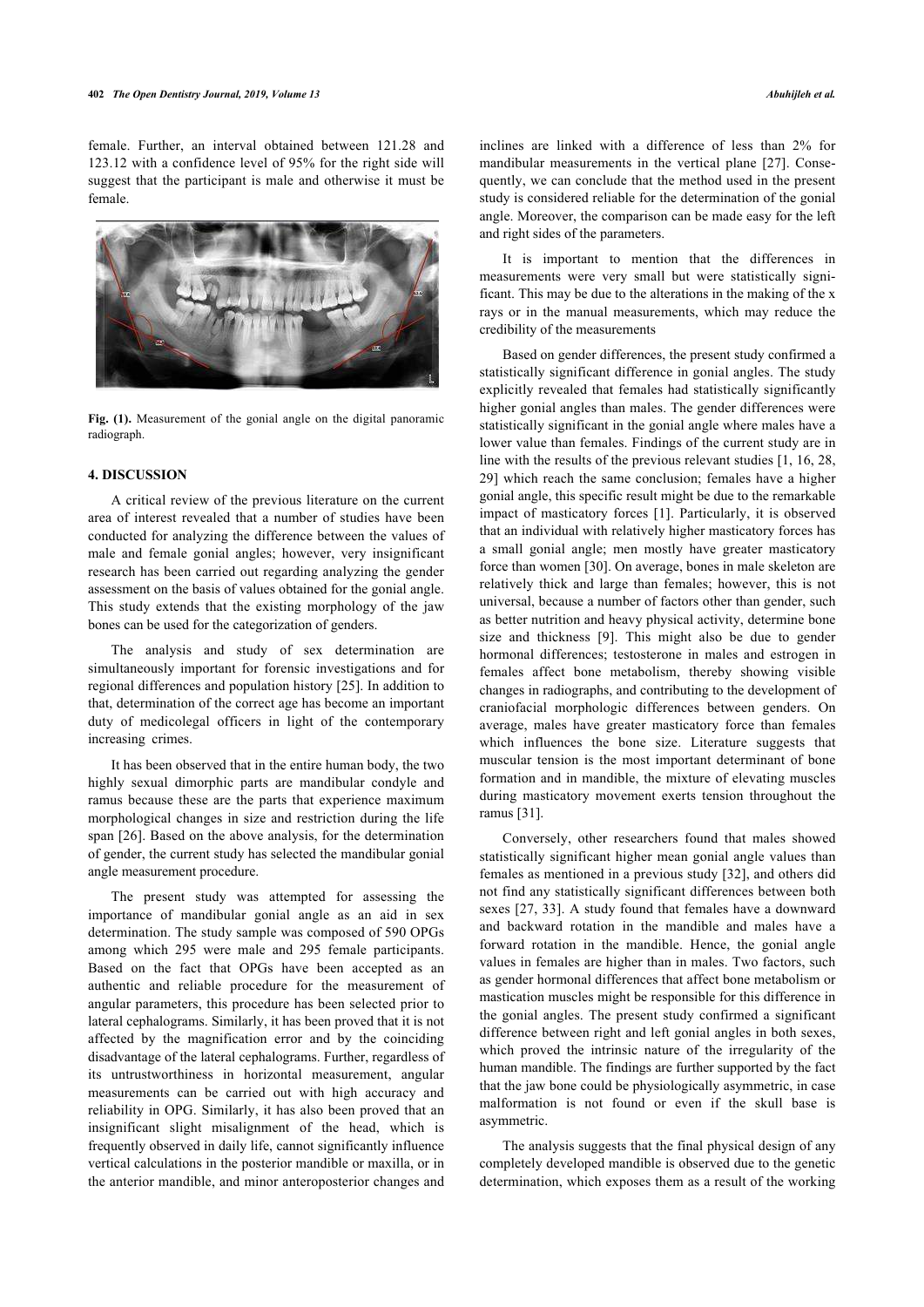female. Further, an interval obtained between 121.28 and 123.12 with a confidence level of 95% for the right side will suggest that the participant is male and otherwise it must be female.



**Fig. (1).** Measurement of the gonial angle on the digital panoramic radiograph.

#### **4. DISCUSSION**

A critical review of the previous literature on the current area of interest revealed that a number of studies have been conducted for analyzing the difference between the values of male and female gonial angles; however, very insignificant research has been carried out regarding analyzing the gender assessment on the basis of values obtained for the gonial angle. This study extends that the existing morphology of the jaw bones can be used for the categorization of genders.

The analysis and study of sex determination are simultaneously important for forensic investigations and for regional differences and population history [25]. In addition to that, determination of the correct age has become an important duty of medicolegal officers in light of the contemporary increasing crimes.

It has been observed that in the entire human body, the two highly sexual dimorphic parts are mandibular condyle and ramus because these are the parts that experience maximum morphological changes in size and restriction during the life span [26]. Based on the above analysis, for the determination of gender, the current study has selected the mandibular gonial angle measurement procedure.

The present study was attempted for assessing the importance of mandibular gonial angle as an aid in sex determination. The study sample was composed of 590 OPGs among which 295 were male and 295 female participants. Based on the fact that OPGs have been accepted as an authentic and reliable procedure for the measurement of angular parameters, this procedure has been selected prior to lateral cephalograms. Similarly, it has been proved that it is not affected by the magnification error and by the coinciding disadvantage of the lateral cephalograms. Further, regardless of its untrustworthiness in horizontal measurement, angular measurements can be carried out with high accuracy and reliability in OPG. Similarly, it has also been proved that an insignificant slight misalignment of the head, which is frequently observed in daily life, cannot significantly influence vertical calculations in the posterior mandible or maxilla, or in the anterior mandible, and minor anteroposterior changes and

inclines are linked with a difference of less than 2% for mandibular measurements in the vertical plane [27]. Consequently, we can conclude that the method used in the present study is considered reliable for the determination of the gonial angle. Moreover, the comparison can be made easy for the left and right sides of the parameters.

It is important to mention that the differences in measurements were very small but were statistically significant. This may be due to the alterations in the making of the x rays or in the manual measurements, which may reduce the credibility of the measurements

Based on gender differences, the present study confirmed a statistically significant difference in gonial angles. The study explicitly revealed that females had statistically significantly higher gonial angles than males. The gender differences were statistically significant in the gonial angle where males have a lower value than females. Findings of the current study are in line with the results of the previous relevant studies [1, 16, 28, 29] which reach the same conclusion; females have a higher gonial angle, this specific result might be due to the remarkable impact of masticatory forces [1]. Particularly, it is observed that an individual with relatively higher masticatory forces has a small gonial angle; men mostly have greater masticatory force than women [30]. On average, bones in male skeleton are relatively thick and large than females; however, this is not universal, because a number of factors other than gender, such as better nutrition and heavy physical activity, determine bone size and thickness [9]. This might also be due to gender hormonal differences; testosterone in males and estrogen in females affect bone metabolism, thereby showing visible changes in radiographs, and contributing to the development of craniofacial morphologic differences between genders. On average, males have greater masticatory force than females which influences the bone size. Literature suggests that muscular tension is the most important determinant of bone formation and in mandible, the mixture of elevating muscles during masticatory movement exerts tension throughout the ramus [31].

Conversely, other researchers found that males showed statistically significant higher mean gonial angle values than females as mentioned in a previous study [32], and others did not find any statistically significant differences between both sexes [27, 33]. A study found that females have a downward and backward rotation in the mandible and males have a forward rotation in the mandible. Hence, the gonial angle values in females are higher than in males. Two factors, such as gender hormonal differences that affect bone metabolism or mastication muscles might be responsible for this difference in the gonial angles. The present study confirmed a significant difference between right and left gonial angles in both sexes, which proved the intrinsic nature of the irregularity of the human mandible. The findings are further supported by the fact that the jaw bone could be physiologically asymmetric, in case malformation is not found or even if the skull base is asymmetric.

The analysis suggests that the final physical design of any completely developed mandible is observed due to the genetic determination, which exposes them as a result of the working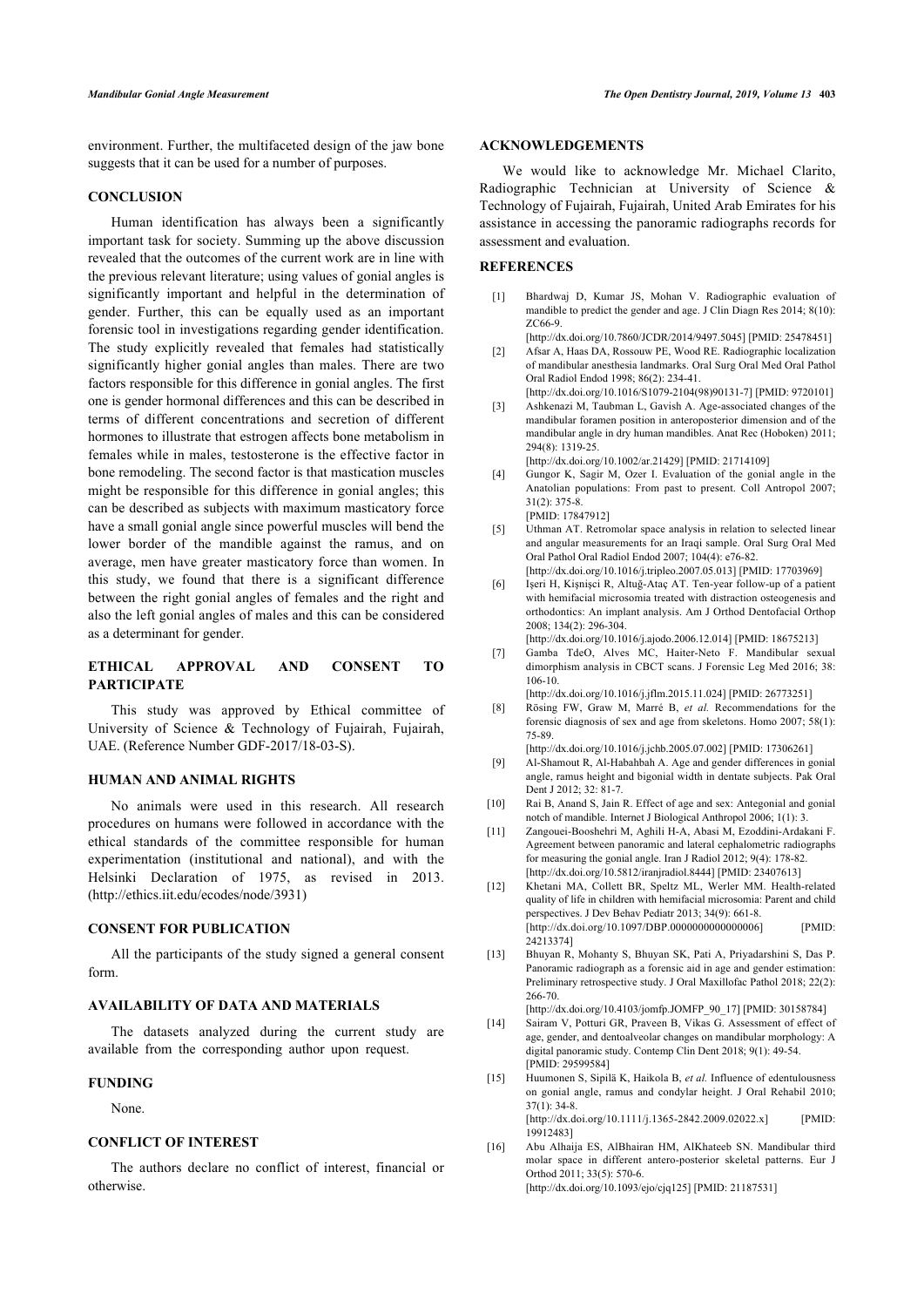environment. Further, the multifaceted design of the jaw bone suggests that it can be used for a number of purposes.

# **CONCLUSION**

Human identification has always been a significantly important task for society. Summing up the above discussion revealed that the outcomes of the current work are in line with the previous relevant literature; using values of gonial angles is significantly important and helpful in the determination of gender. Further, this can be equally used as an important forensic tool in investigations regarding gender identification. The study explicitly revealed that females had statistically significantly higher gonial angles than males. There are two factors responsible for this difference in gonial angles. The first one is gender hormonal differences and this can be described in terms of different concentrations and secretion of different hormones to illustrate that estrogen affects bone metabolism in females while in males, testosterone is the effective factor in bone remodeling. The second factor is that mastication muscles might be responsible for this difference in gonial angles; this can be described as subjects with maximum masticatory force have a small gonial angle since powerful muscles will bend the lower border of the mandible against the ramus, and on average, men have greater masticatory force than women. In this study, we found that there is a significant difference between the right gonial angles of females and the right and also the left gonial angles of males and this can be considered as a determinant for gender.

# **ETHICAL APPROVAL AND CONSENT TO PARTICIPATE**

This study was approved by Ethical committee of University of Science & Technology of Fujairah, Fujairah, UAE. (Reference Number GDF-2017/18-03-S).

#### **HUMAN AND ANIMAL RIGHTS**

No animals were used in this research. All research procedures on humans were followed in accordance with the ethical standards of the committee responsible for human experimentation (institutional and national), and with the Helsinki Declaration of 1975, as revised in 2013. (http://ethics.iit.edu/ecodes/node/3931)

#### **CONSENT FOR PUBLICATION**

All the participants of the study signed a general consent form.

#### **AVAILABILITY OF DATA AND MATERIALS**

The datasets analyzed during the current study are available from the corresponding author upon request.

#### **FUNDING**

None.

#### **CONFLICT OF INTEREST**

The authors declare no conflict of interest, financial or otherwise.

## **ACKNOWLEDGEMENTS**

We would like to acknowledge Mr. Michael Clarito, Radiographic Technician at University of Science & Technology of Fujairah, Fujairah, United Arab Emirates for his assistance in accessing the panoramic radiographs records for assessment and evaluation.

#### **REFERENCES**

- [1] Bhardwaj D, Kumar JS, Mohan V. Radiographic evaluation of mandible to predict the gender and age. J Clin Diagn Res 2014; 8(10): ZC66-9. [http://dx.doi.org/10.7860/JCDR/2014/9497.5045] [PMID: 25478451]
- [2] Afsar A, Haas DA, Rossouw PE, Wood RE. Radiographic localization of mandibular anesthesia landmarks. Oral Surg Oral Med Oral Pathol Oral Radiol Endod 1998; 86(2): 234-41.
- [http://dx.doi.org/10.1016/S1079-2104(98)90131-7] [PMID: 9720101] [3] Ashkenazi M, Taubman L, Gavish A. Age-associated changes of the
- mandibular foramen position in anteroposterior dimension and of the mandibular angle in dry human mandibles. Anat Rec (Hoboken) 2011; 294(8): 1319-25.
- [http://dx.doi.org/10.1002/ar.21429] [PMID: 21714109]
- [4] Gungor K, Sagir M, Ozer I. Evaluation of the gonial angle in the Anatolian populations: From past to present. Coll Antropol 2007; 31(2): 375-8. [PMID: 17847912]
- [5] Uthman AT. Retromolar space analysis in relation to selected linear and angular measurements for an Iraqi sample. Oral Surg Oral Med Oral Pathol Oral Radiol Endod 2007; 104(4): e76-82. [http://dx.doi.org/10.1016/j.tripleo.2007.05.013] [PMID: 17703969]
- [6] Işeri H, Kişnişci R, Altuğ-Ataç AT. Ten-year follow-up of a patient with hemifacial microsomia treated with distraction osteogenesis and orthodontics: An implant analysis. Am J Orthod Dentofacial Orthop 2008; 134(2): 296-304. [http://dx.doi.org/10.1016/j.ajodo.2006.12.014] [PMID: 18675213]
- [7] Gamba TdeO, Alves MC, Haiter-Neto F. Mandibular sexual dimorphism analysis in CBCT scans. J Forensic Leg Med 2016; 38: 106-10.
- [http://dx.doi.org/10.1016/j.jflm.2015.11.024] [PMID: 26773251] [8] Rösing FW, Graw M, Marré B, *et al.* Recommendations for the forensic diagnosis of sex and age from skeletons. Homo 2007; 58(1): 75-89.
- [http://dx.doi.org/10.1016/j.jchb.2005.07.002] [PMID: 17306261] [9] Al-Shamout R, Al-Habahbah A. Age and gender differences in gonial angle, ramus height and bigonial width in dentate subjects. Pak Oral Dent J 2012: 32: 81-7.
- [10] Rai B, Anand S, Jain R. Effect of age and sex: Antegonial and gonial notch of mandible. Internet J Biological Anthropol 2006; 1(1): 3.
- [11] Zangouei-Booshehri M, Aghili H-A, Abasi M, Ezoddini-Ardakani F. Agreement between panoramic and lateral cephalometric radiographs for measuring the gonial angle. Iran J Radiol 2012; 9(4): 178-82. [http://dx.doi.org/10.5812/iranjradiol.8444] [PMID: 23407613]
- [12] Khetani MA, Collett BR, Speltz ML, Werler MM. Health-related quality of life in children with hemifacial microsomia: Parent and child perspectives. J Dev Behav Pediatr 2013; 34(9): 661-8. [http://dx.doi.org/10.1097/DBP.0000000000000006] [PMID: 24213374]
- [13] Bhuyan R, Mohanty S, Bhuyan SK, Pati A, Priyadarshini S, Das P. Panoramic radiograph as a forensic aid in age and gender estimation: Preliminary retrospective study. J Oral Maxillofac Pathol 2018; 22(2): 266-70.
- [http://dx.doi.org/10.4103/jomfp.JOMFP\_90\_17] [PMID: 30158784] [14] Sairam V, Potturi GR, Praveen B, Vikas G. Assessment of effect of
- age, gender, and dentoalveolar changes on mandibular morphology: A digital panoramic study. Contemp Clin Dent 2018; 9(1): 49-54. [PMID: 29599584]
- [15] Huumonen S, Sipilä K, Haikola B, *et al.* Influence of edentulousness on gonial angle, ramus and condylar height. J Oral Rehabil 2010; 37(1): 34-8.

[http://dx.doi.org/10.1111/j.1365-2842.2009.02022.x] [PMID: 19912483]

[16] Abu Alhaija ES, AlBhairan HM, AlKhateeb SN. Mandibular third molar space in different antero-posterior skeletal patterns. Eur J Orthod 2011; 33(5): 570-6. [http://dx.doi.org/10.1093/ejo/cjq125] [PMID: 21187531]